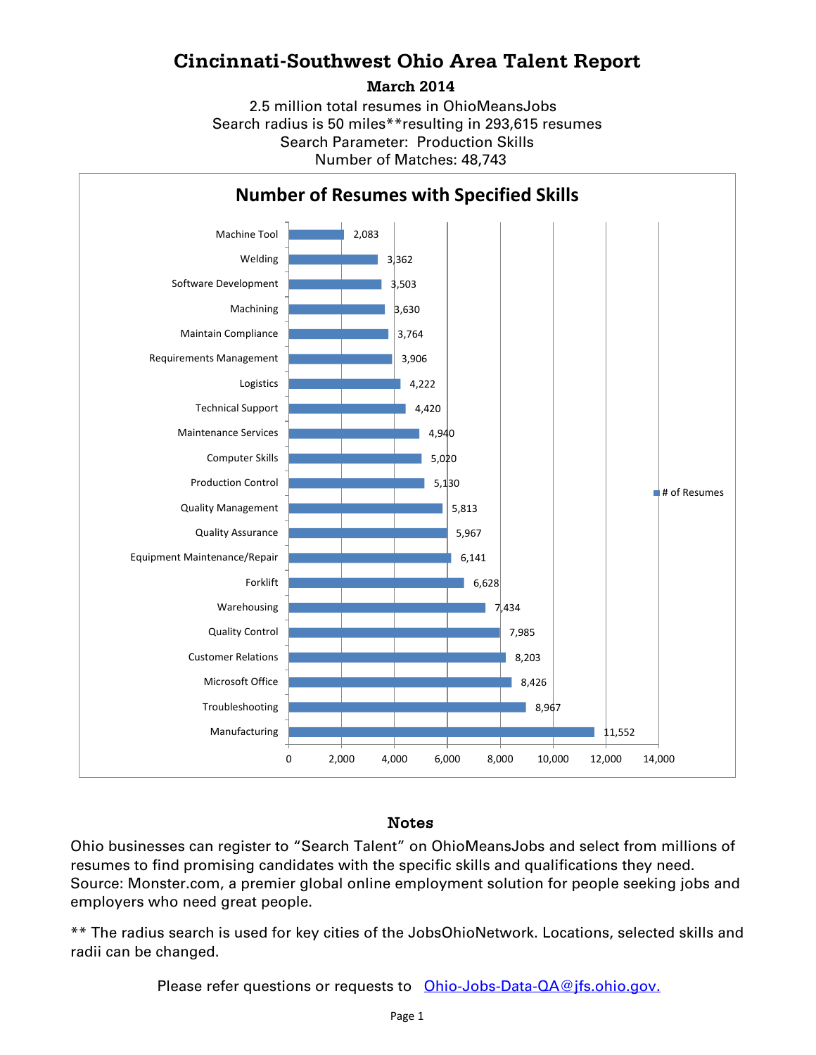## **Cincinnati-Southwest Ohio Area Talent Report**

**March 2014**

Search radius is 50 miles\*\*resulting in 293,615 resumes Number of Matches: 48,743 Search Parameter: Production Skills 2.5 million total resumes in OhioMeansJobs



## Notes

Ohio businesses can register to "Search Talent" on OhioMeansJobs and select from millions of resumes to find promising candidates with the specific skills and qualifications they need. Source: Monster.com, a premier global online employment solution for people seeking jobs and employers who need great people.

\*\* The radius search is used for key cities of the JobsOhioNetwork. Locations, selected skills and radii can be changed.

Please refer questions or requests to [Ohio-Jobs-Data-QA@jfs.ohio.gov.](mailto:Ohio-Jobs-Data-QA@jfs.ohio.gov.)